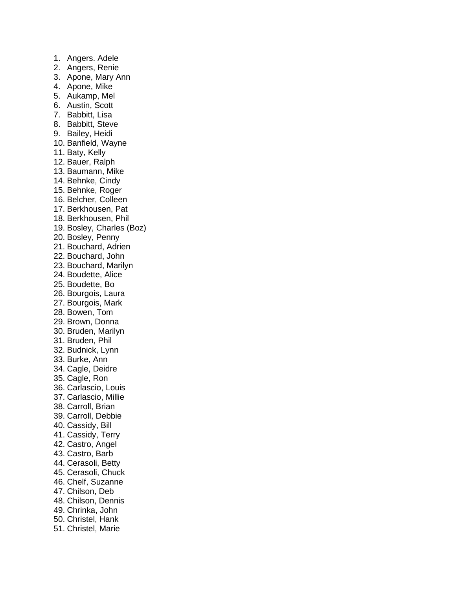1. Angers. Adele 2. Angers, Renie 3. Apone, Mary Ann 4. Apone, Mike 5. Aukamp, Mel 6. Austin, Scott 7. Babbitt, Lisa 8. Babbitt, Steve 9. Bailey, Heidi 10. Banfield, Wayne 11. Baty, Kelly 12. Bauer, Ralph 13. Baumann, Mike 14. Behnke, Cindy 15. Behnke, Roger 16. Belcher, Colleen 17. Berkhousen, Pat 18. Berkhousen, Phil 19. Bosley, Charles (Boz) 20. Bosley, Penny 21. Bouchard, Adrien 22. Bouchard, John 23. Bouchard, Marilyn 24. Boudette, Alice 25. Boudette, Bo 26. Bourgois, Laura 27. Bourgois, Mark 28. Bowen, Tom 29. Brown, Donna 30. Bruden, Marilyn 31. Bruden, Phil 32. Budnick, Lynn 33. Burke, Ann 34. Cagle, Deidre 35. Cagle, Ron 36. Carlascio, Louis 37. Carlascio, Millie 38. Carroll, Brian 39. Carroll, Debbie 40. Cassidy, Bill 41. Cassidy, Terry 42. Castro, Angel 43. Castro, Barb 44. Cerasoli, Betty 45. Cerasoli, Chuck 46. Chelf, Suzanne 47. Chilson, Deb 48. Chilson, Dennis 49. Chrinka, John 50. Christel, Hank 51. Christel, Marie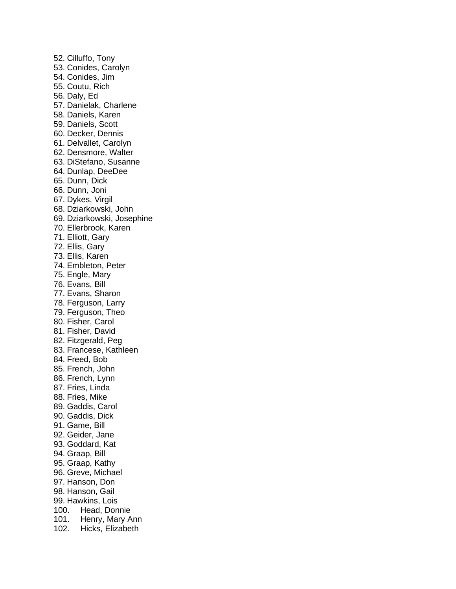52. Cilluffo, Tony 53. Conides, Carolyn 54. Conides, Jim 55. Coutu, Rich 56. Daly, Ed 57. Danielak, Charlene 58. Daniels, Karen 59. Daniels, Scott 60. Decker, Dennis 61. Delvallet, Carolyn 62. Densmore, Walter 63. DiStefano, Susanne 64. Dunlap, DeeDee 65. Dunn, Dick 66. Dunn, Joni 67. Dykes, Virgil 68. Dziarkowski, John 69. Dziarkowski, Josephine 70. Ellerbrook, Karen 71. Elliott, Gary 72. Ellis, Gary 73. Ellis, Karen 74. Embleton, Peter 75. Engle, Mary 76. Evans, Bill 77. Evans, Sharon 78. Ferguson, Larry 79. Ferguson, Theo 80. Fisher, Carol 81. Fisher, David 82. Fitzgerald, Peg 83. Francese, Kathleen 84. Freed, Bob 85. French, John 86. French, Lynn 87. Fries, Linda 88. Fries, Mike 89. Gaddis, Carol 90. Gaddis, Dick 91. Game, Bill 92. Geider, Jane 93. Goddard, Kat 94. Graap, Bill 95. Graap, Kathy 96. Greve, Michael 97. Hanson, Don 98. Hanson, Gail 99. Hawkins, Lois 100. Head, Donnie 101. Henry, Mary Ann 102. Hicks, Elizabeth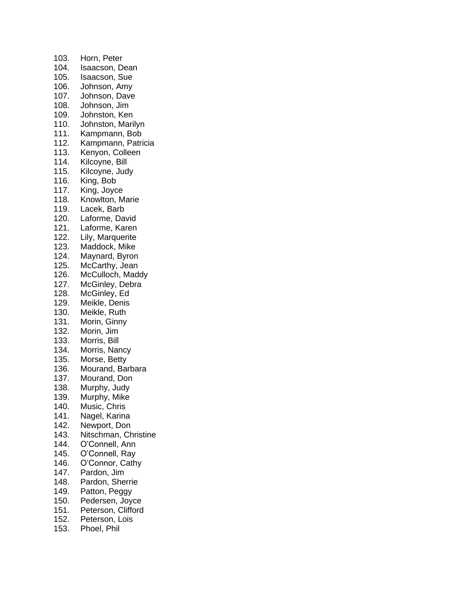103. Horn, Peter 104. Isaacson, Dean 105. Isaacson, Sue 106. Johnson, Amy 107. Johnson, Dave 108. Johnson, Jim 109. Johnston, Ken 110. Johnston, Marilyn 111. Kampmann, Bob 112. Kampmann, Patricia 113. Kenyon, Colleen 114. Kilcoyne, Bill 115. Kilcoyne, Judy 116. King, Bob 117. King, Joyce 118. Knowlton, Marie 119. Lacek, Barb 120. Laforme, David 121. Laforme, Karen 122. Lily, Marquerite<br>123. Maddock, Mike Maddock, Mike 124. Maynard, Byron 125. McCarthy, Jean 126. McCulloch, Maddy 127. McGinley, Debra 128. McGinley, Ed 129. Meikle, Denis 130. Meikle, Ruth 131. Morin, Ginny 132. Morin, Jim 133. Morris, Bill 134. Morris, Nancy 135. Morse, Betty 136. Mourand, Barbara 137. Mourand, Don 138. Murphy, Judy 139. Murphy, Mike 140. Music, Chris 141. Nagel, Karina 142. Newport, Don 143. Nitschman, Christine 144. O'Connell, Ann 145. O'Connell, Ray 146. O'Connor, Cathy 147. Pardon, Jim 148. Pardon, Sherrie 149. Patton, Peggy 150. Pedersen, Joyce 151. Peterson, Clifford 152. Peterson, Lois 153. Phoel, Phil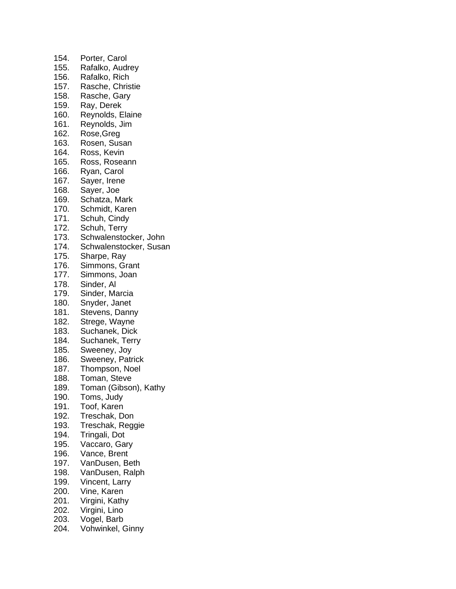154. Porter, Carol 155. Rafalko, Audrey 156. Rafalko, Rich 157. Rasche, Christie 158. Rasche, Gary 159. Ray, Derek 160. Reynolds, Elaine 161. Reynolds, Jim 162. Rose,Greg 163. Rosen, Susan 164. Ross, Kevin 165. Ross, Roseann 166. Ryan, Carol 167. Sayer, Irene 168. Sayer, Joe 169. Schatza, Mark 170. Schmidt, Karen 171. Schuh, Cindy 172. Schuh, Terry 173. Schwalenstocker, John 174. Schwalenstocker, Susan 175. Sharpe, Ray 176. Simmons, Grant 177. Simmons, Joan 178. Sinder, Al 179. Sinder, Marcia 180. Snyder, Janet 181. Stevens, Danny 182. Strege, Wayne 183. Suchanek, Dick 184. Suchanek, Terry 185. Sweeney, Joy 186. Sweeney, Patrick 187. Thompson, Noel 188. Toman, Steve 189. Toman (Gibson), Kathy 190. Toms, Judy 191. Toof, Karen 192. Treschak, Don 193. Treschak, Reggie 194. Tringali, Dot 195. Vaccaro, Gary 196. Vance, Brent 197. VanDusen, Beth 198. VanDusen, Ralph 199. Vincent, Larry 200. Vine, Karen 201. Virgini, Kathy 202. Virgini, Lino 203. Vogel, Barb 204. Vohwinkel, Ginny